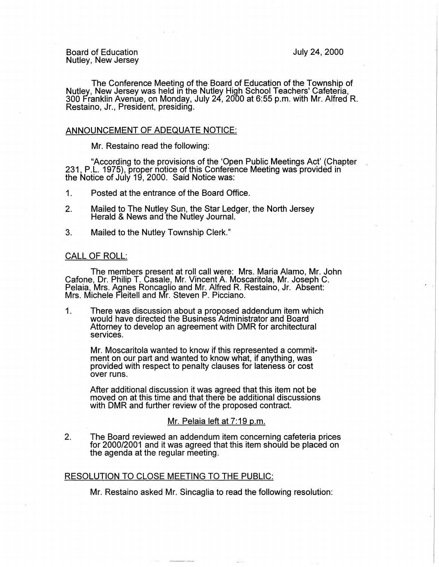July 24, 2000

Board of Education Nutley, New Jersey

The Conference Meeting of the Board of Education of the Township of Nutley, New Jersey was held in the Nutley High School Teachers' Cafeteria, 300 Franklin Avenue, on Monday, July 24, 2000 at 6:55 p.m. with Mr. Alfred R. Restaino, Jr., President, presiding.

### ANNOUNCEMENT OF ADEQUATE NOTICE:

Mr. Restaino read the following:

"According to the provisions of the 'Open Public Meetings Act' (Chapter 231, P.L. 1975), proper notice of this Conference Meeting was provided in the Notice of July 19, 2000. Said Notice was:

- 1. Posted at the entrance of the Board Office.
- 2. Mailed to The Nutley Sun, the Star Ledger, the North Jersey Herald & News and the Nutley Journal.
- 3. Mailed to the Nutley Township Clerk."

### CALL OF ROLL:

The members present at roll call were: Mrs. Maria Alamo, Mr. John Cafone, Dr. Philip T. Casale, Mr. Vincent A. Moscaritola, Mr. Joseph C. Pelaia, Mrs. Agnes Roncaglio and Mr. Alfred R. Restaino, Jr. Absent: Mrs. Michele Fleitell and Mr. Steven P. Picciano.

1. There was discussion about a proposed addendum item which would have directed the Business Administrator and Board Attorney to develop an agreement with DMR for architectural services.

Mr. Moscaritola wanted to know if this represented a commitment on our part and wanted to know what, if anything, was provided with respect to penalty clauses for lateness or cost over runs.

After additional discussion it was agreed that this item not be moved on at this time and that there be additional discussions with DMR and further review of the proposed contract.

# Mr. Pelaia left at 7:19 p.m.

2. The Board reviewed an addendum item concerning cafeteria prices for 2000/2001 and it was agreed that this item should be placed on the agenda at the regular meeting.

## RESOLUTION TO CLOSE MEETING TO THE PUBLIC:

Mr. Restaino asked Mr. Sincaglia to read the following resolution: